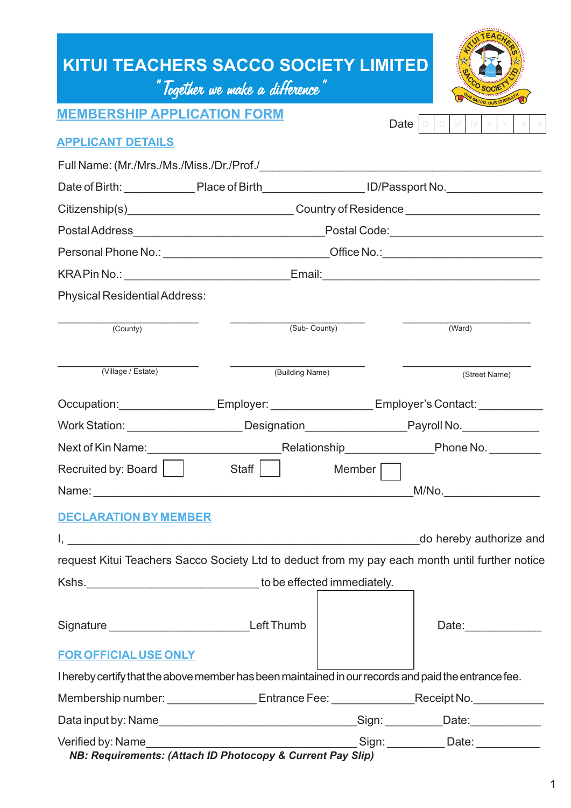| KITUI TEACHERS SACCO SOCIETY LIMITED                                                                 | "Together we make a difference"                            |                |                                                                                                           |  |  |
|------------------------------------------------------------------------------------------------------|------------------------------------------------------------|----------------|-----------------------------------------------------------------------------------------------------------|--|--|
| <b>MEMBERSHIP APPLICATION FORM</b>                                                                   |                                                            | Date  <br>DDMM |                                                                                                           |  |  |
| <b>APPLICANT DETAILS</b>                                                                             |                                                            |                |                                                                                                           |  |  |
|                                                                                                      |                                                            |                |                                                                                                           |  |  |
|                                                                                                      |                                                            |                | Date of Birth: __________________Place of Birth________________________ID/Passport No.___________________ |  |  |
|                                                                                                      |                                                            |                | Citizenship(s)_______________________________Country of Residence ______________                          |  |  |
|                                                                                                      |                                                            |                |                                                                                                           |  |  |
|                                                                                                      |                                                            |                | Personal Phone No.: _______________________________Office No.: _________________                          |  |  |
|                                                                                                      |                                                            |                |                                                                                                           |  |  |
| <b>Physical Residential Address:</b>                                                                 |                                                            |                |                                                                                                           |  |  |
| (County)                                                                                             |                                                            | (Sub-County)   | (Ward)                                                                                                    |  |  |
| (Village / Estate)                                                                                   | (Building Name)                                            |                | (Street Name)                                                                                             |  |  |
|                                                                                                      |                                                            |                | Occupation: Employer: Employer: Employer & Contact:                                                       |  |  |
|                                                                                                      |                                                            |                | Work Station: _______________________Designation________________________Payroll No.________________       |  |  |
| Next of Kin Name:                                                                                    |                                                            | Relationship   |                                                                                                           |  |  |
| Recruited by: Board                                                                                  | <b>Staff</b>                                               | Member         |                                                                                                           |  |  |
|                                                                                                      |                                                            |                |                                                                                                           |  |  |
| <b>DECLARATION BY MEMBER</b>                                                                         |                                                            |                |                                                                                                           |  |  |
|                                                                                                      |                                                            |                | do hereby authorize and                                                                                   |  |  |
|                                                                                                      |                                                            |                | request Kitui Teachers Sacco Society Ltd to deduct from my pay each month until further notice            |  |  |
|                                                                                                      |                                                            |                |                                                                                                           |  |  |
|                                                                                                      |                                                            |                |                                                                                                           |  |  |
| Signature __________________________________Left Thumb                                               |                                                            |                | Date: Date:                                                                                               |  |  |
| <b>FOR OFFICIAL USE ONLY</b>                                                                         |                                                            |                |                                                                                                           |  |  |
| I hereby certify that the above member has been maintained in our records and paid the entrance fee. |                                                            |                |                                                                                                           |  |  |
|                                                                                                      |                                                            |                | Membership number: __________________Entrance Fee: __________________Receipt No. _________________        |  |  |
|                                                                                                      |                                                            |                |                                                                                                           |  |  |
|                                                                                                      | NB: Requirements: (Attach ID Photocopy & Current Pay Slip) |                |                                                                                                           |  |  |

1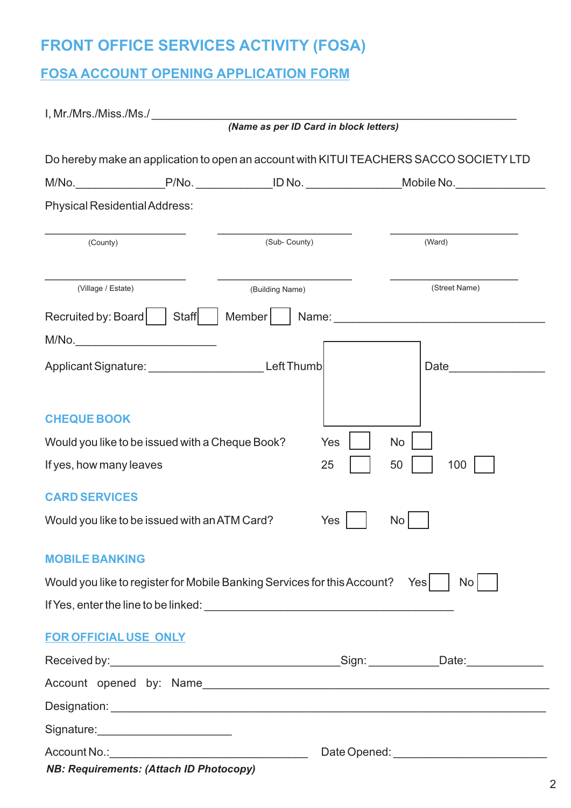# **FRONT OFFICE SERVICES ACTIVITY (FOSA)**

## **FOSA ACCOUNT OPENING APPLICATION FORM**

| <u>I, Mr./Mrs./Miss./Ms./_____________</u>                                   |  |                                                                                                     |     |                                                                                        |  |
|------------------------------------------------------------------------------|--|-----------------------------------------------------------------------------------------------------|-----|----------------------------------------------------------------------------------------|--|
|                                                                              |  | (Name as per ID Card in block letters)                                                              |     |                                                                                        |  |
|                                                                              |  |                                                                                                     |     | Do hereby make an application to open an account with KITUI TEACHERS SACCO SOCIETY LTD |  |
|                                                                              |  | M/No.___________________P/No. ______________ID No. __________________Mobile No.____________________ |     |                                                                                        |  |
| <b>Physical Residential Address:</b>                                         |  |                                                                                                     |     |                                                                                        |  |
| (County)                                                                     |  | (Sub- County)                                                                                       |     | (Ward)                                                                                 |  |
| (Village / Estate)                                                           |  | (Building Name)                                                                                     |     | (Street Name)                                                                          |  |
| Recruited by: Board   Staff                                                  |  | Member                                                                                              |     | Name: <u>_____________________</u>                                                     |  |
| M/No.                                                                        |  |                                                                                                     |     |                                                                                        |  |
| Applicant Signature: __________________________ Left Thumb                   |  |                                                                                                     |     | Date                                                                                   |  |
|                                                                              |  |                                                                                                     |     |                                                                                        |  |
| <b>CHEQUE BOOK</b>                                                           |  |                                                                                                     |     |                                                                                        |  |
| Would you like to be issued with a Cheque Book?                              |  |                                                                                                     | Yes | No                                                                                     |  |
| If yes, how many leaves<br>25<br>50<br>100                                   |  |                                                                                                     |     |                                                                                        |  |
| <b>CARD SERVICES</b>                                                         |  |                                                                                                     |     |                                                                                        |  |
| Would you like to be issued with an ATM Card?<br>Yes<br>No                   |  |                                                                                                     |     |                                                                                        |  |
| <b>MOBILE BANKING</b>                                                        |  |                                                                                                     |     |                                                                                        |  |
| Would you like to register for Mobile Banking Services for this Account? Yes |  |                                                                                                     |     | $\mathsf{No}$                                                                          |  |
|                                                                              |  |                                                                                                     |     |                                                                                        |  |
| <b>FOR OFFICIAL USE ONLY</b>                                                 |  |                                                                                                     |     |                                                                                        |  |
|                                                                              |  |                                                                                                     |     |                                                                                        |  |
|                                                                              |  |                                                                                                     |     | Account opened by: Name                                                                |  |
|                                                                              |  |                                                                                                     |     |                                                                                        |  |
| Signature: _________________________                                         |  |                                                                                                     |     |                                                                                        |  |
|                                                                              |  |                                                                                                     |     |                                                                                        |  |

*NB: Requirements: (Attach ID Photocopy)*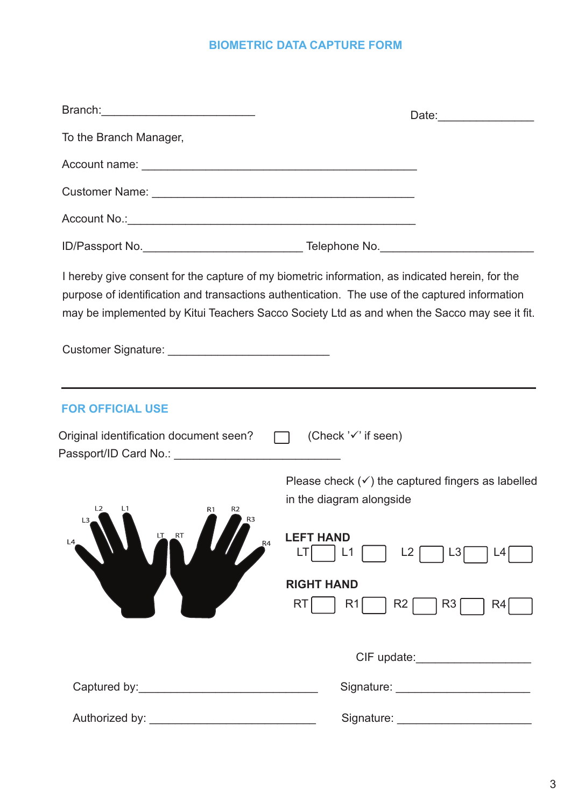## **BIOMETRIC DATA CAPTURE FORM**

|                                                                                                  | Date: ________________                                                                                                                                                                                                                                                                            |  |  |
|--------------------------------------------------------------------------------------------------|---------------------------------------------------------------------------------------------------------------------------------------------------------------------------------------------------------------------------------------------------------------------------------------------------|--|--|
| To the Branch Manager,                                                                           |                                                                                                                                                                                                                                                                                                   |  |  |
|                                                                                                  |                                                                                                                                                                                                                                                                                                   |  |  |
|                                                                                                  |                                                                                                                                                                                                                                                                                                   |  |  |
|                                                                                                  |                                                                                                                                                                                                                                                                                                   |  |  |
|                                                                                                  |                                                                                                                                                                                                                                                                                                   |  |  |
|                                                                                                  | I hereby give consent for the capture of my biometric information, as indicated herein, for the<br>purpose of identification and transactions authentication. The use of the captured information<br>may be implemented by Kitui Teachers Sacco Society Ltd as and when the Sacco may see it fit. |  |  |
| <b>FOR OFFICIAL USE</b>                                                                          |                                                                                                                                                                                                                                                                                                   |  |  |
| Original identification document seen?<br>Passport/ID Card No.: ________________________________ | (Check ' $\checkmark$ ' if seen)                                                                                                                                                                                                                                                                  |  |  |
| L <sub>2</sub><br>R <sub>2</sub><br>R1                                                           | Please check $(\checkmark)$ the captured fingers as labelled<br>in the diagram alongside                                                                                                                                                                                                          |  |  |
| L3<br>_RT<br>L4<br>R4                                                                            | <b>LEFT HAND</b><br>LT<br>L1<br>L2<br>$\lfloor 3 \rfloor$<br>$\lfloor 4 \rfloor$                                                                                                                                                                                                                  |  |  |
|                                                                                                  | <b>RIGHT HAND</b><br><b>RT</b><br>R1<br>R2<br>R3<br>R4                                                                                                                                                                                                                                            |  |  |
|                                                                                                  |                                                                                                                                                                                                                                                                                                   |  |  |
|                                                                                                  |                                                                                                                                                                                                                                                                                                   |  |  |
| Authorized by:                                                                                   | Signature:                                                                                                                                                                                                                                                                                        |  |  |